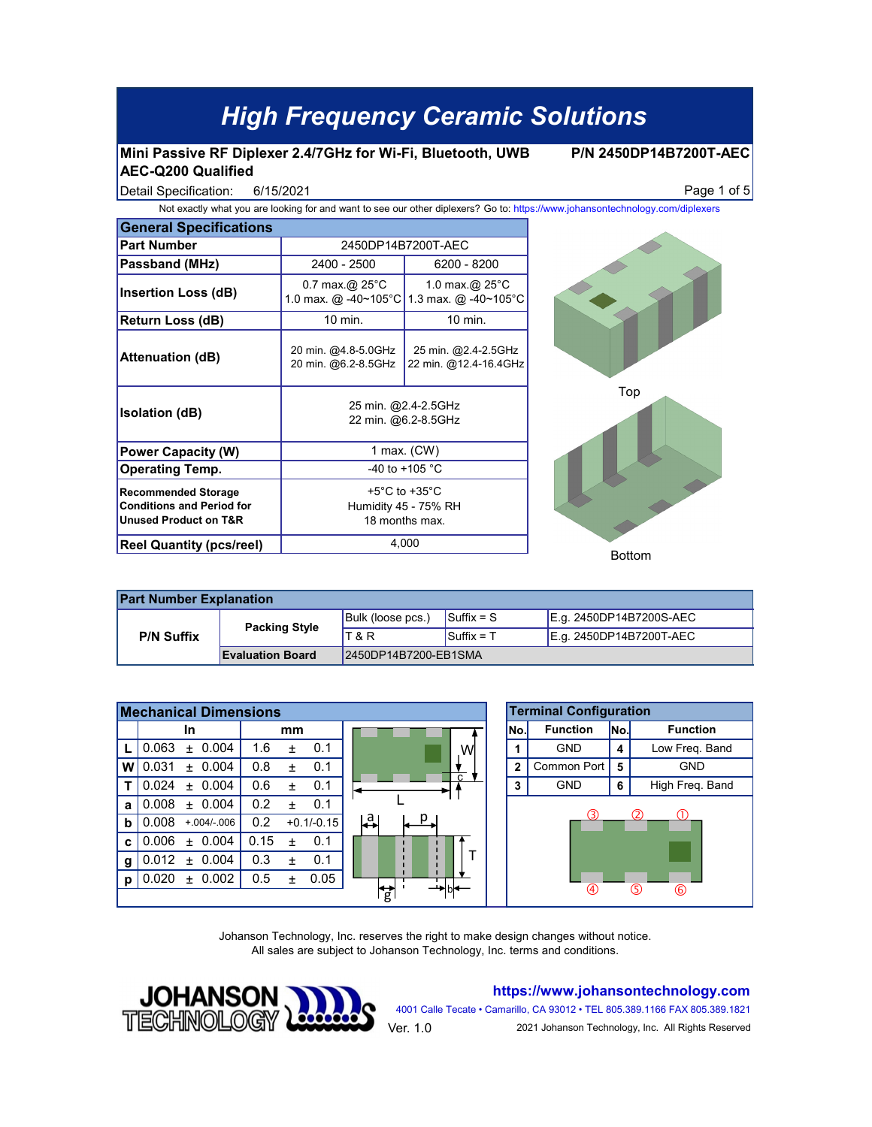#### **Mini Passive RF Diplexer 2.4/7GHz for Wi-Fi, Bluetooth, UWB AEC-Q200 Qualified**

**P/N 2450DP14B7200T-AEC**

6/15/2021

Detail Specification: Page 1 of 5

| <b>General Specifications</b>                                                           |                                                                               |                                              |  |  |  |
|-----------------------------------------------------------------------------------------|-------------------------------------------------------------------------------|----------------------------------------------|--|--|--|
| <b>Part Number</b>                                                                      | 2450DP14B7200T-AEC                                                            |                                              |  |  |  |
| Passband (MHz)                                                                          | 2400 - 2500                                                                   | 6200 - 8200                                  |  |  |  |
| <b>Insertion Loss (dB)</b>                                                              | $0.7$ max.@ 25 $\degree$ C<br>1.0 max. @ -40~105°C                            | 1.0 max. $@$ 25 $°C$<br>1.3 max. @ -40~105°C |  |  |  |
| Return Loss (dB)                                                                        | 10 min.                                                                       | 10 min.                                      |  |  |  |
| <b>Attenuation (dB)</b>                                                                 | 20 min. @4.8-5.0GHz<br>20 min. @6.2-8.5GHz                                    | 25 min. @2.4-2.5GHz<br>22 min. @12.4-16.4GHz |  |  |  |
| <b>Isolation (dB)</b>                                                                   | 25 min. @2.4-2.5GHz<br>22 min. @6.2-8.5GHz                                    |                                              |  |  |  |
| <b>Power Capacity (W)</b>                                                               | 1 max. (CW)                                                                   |                                              |  |  |  |
| <b>Operating Temp.</b>                                                                  | -40 to +105 °C                                                                |                                              |  |  |  |
| <b>Recommended Storage</b><br><b>Conditions and Period for</b><br>Unused Product on T&R | +5 $^{\circ}$ C to +35 $^{\circ}$ C<br>Humidity 45 - 75% RH<br>18 months max. |                                              |  |  |  |
| <b>Reel Quantity (pcs/reel)</b>                                                         | 4,000                                                                         |                                              |  |  |  |



| <b>Part Number Explanation</b> |                         |                      |                                |                         |  |  |  |  |
|--------------------------------|-------------------------|----------------------|--------------------------------|-------------------------|--|--|--|--|
| <b>P/N Suffix</b>              | <b>Packing Style</b>    | Bulk (loose pcs.)    | $\mathsf{Suffix} = \mathsf{S}$ | E.g. 2450DP14B7200S-AEC |  |  |  |  |
|                                |                         | T & R                | $Suffix = T$                   | E.g. 2450DP14B7200T-AEC |  |  |  |  |
|                                | <b>Evaluation Board</b> | 2450DP14B7200-EB1SMA |                                |                         |  |  |  |  |

| <b>Mechanical Dimensions</b> |                        |                          | <b>Terminal Configuration</b> |      |                 |      |                      |
|------------------------------|------------------------|--------------------------|-------------------------------|------|-----------------|------|----------------------|
|                              | <b>In</b>              | mm                       |                               | INo. | <b>Function</b> | lNo. | <b>Function</b>      |
|                              | 0.004<br>0.063<br>$+$  | 1.6<br>0.1<br>$\ddot{}$  | Wl<br>C.                      |      | <b>GND</b>      | 4    | Low Freq. Band       |
| w                            | 0.004<br>0.031<br>$+$  | 0.8<br>0.1<br>$\ddot{}$  |                               | 2    | Common Port     | 5    | <b>GND</b>           |
|                              | 0.004<br>0.024<br>$+$  | 0.6<br>0.1<br>$\ddot{}$  |                               | 3    | <b>GND</b>      | 6    | High Freq. Band      |
| a                            | $+ 0.004$<br>0.008     | 0.2<br>0.1<br>$\ddot{}$  |                               |      |                 |      |                      |
| b                            | 0.008<br>$+.004/-.006$ | 0.2<br>$+0.1/-0.15$      | ¦a<br>I                       |      | 3<br>ന<br>(2)   |      |                      |
| C                            | ± 0.004<br>0.006       | 0.15<br>0.1<br>$\ddot{}$ |                               |      |                 |      |                      |
| g                            | 0.004<br>0.012<br>$+$  | 0.3<br>0.1<br>$\ddot{}$  |                               |      |                 |      |                      |
| Ŋ                            | 0.002<br>0.020<br>$+$  | 0.05<br>0.5<br>$\ddot{}$ |                               |      |                 |      |                      |
|                              |                        |                          | $\overrightarrow{g}$          |      | 4               |      | G.<br>$^{\circledR}$ |

Johanson Technology, Inc. reserves the right to make design changes without notice. All sales are subject to Johanson Technology, Inc. terms and conditions.



**https://www.johansontechnology.com**

4001 Calle Tecate • Camarillo, CA 93012 • TEL 805.389.1166 FAX 805.389.1821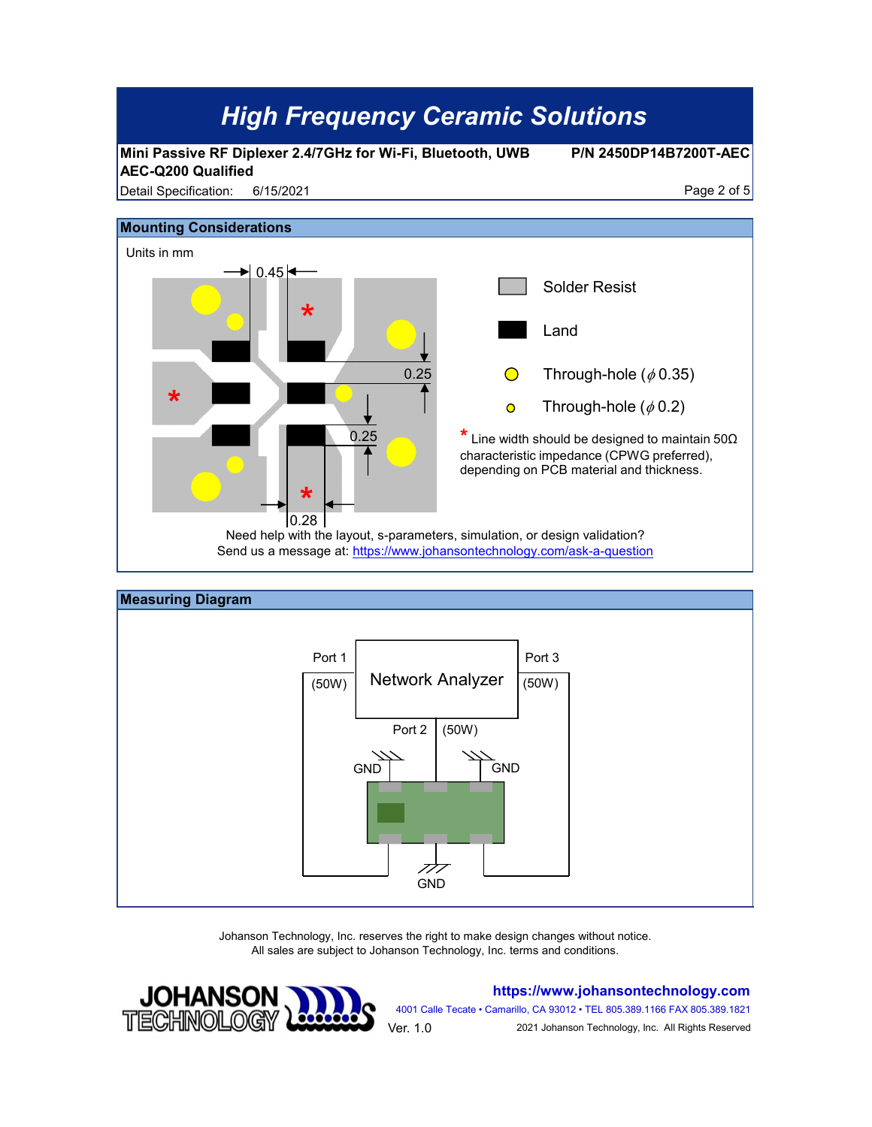



Johanson Technology, Inc. reserves the right to make design changes without notice. All sales are subject to Johanson Technology, Inc. terms and conditions.



**https://www.johansontechnology.com**

4001 Calle Tecate • Camarillo, CA 93012 • TEL 805.389.1166 FAX 805.389.1821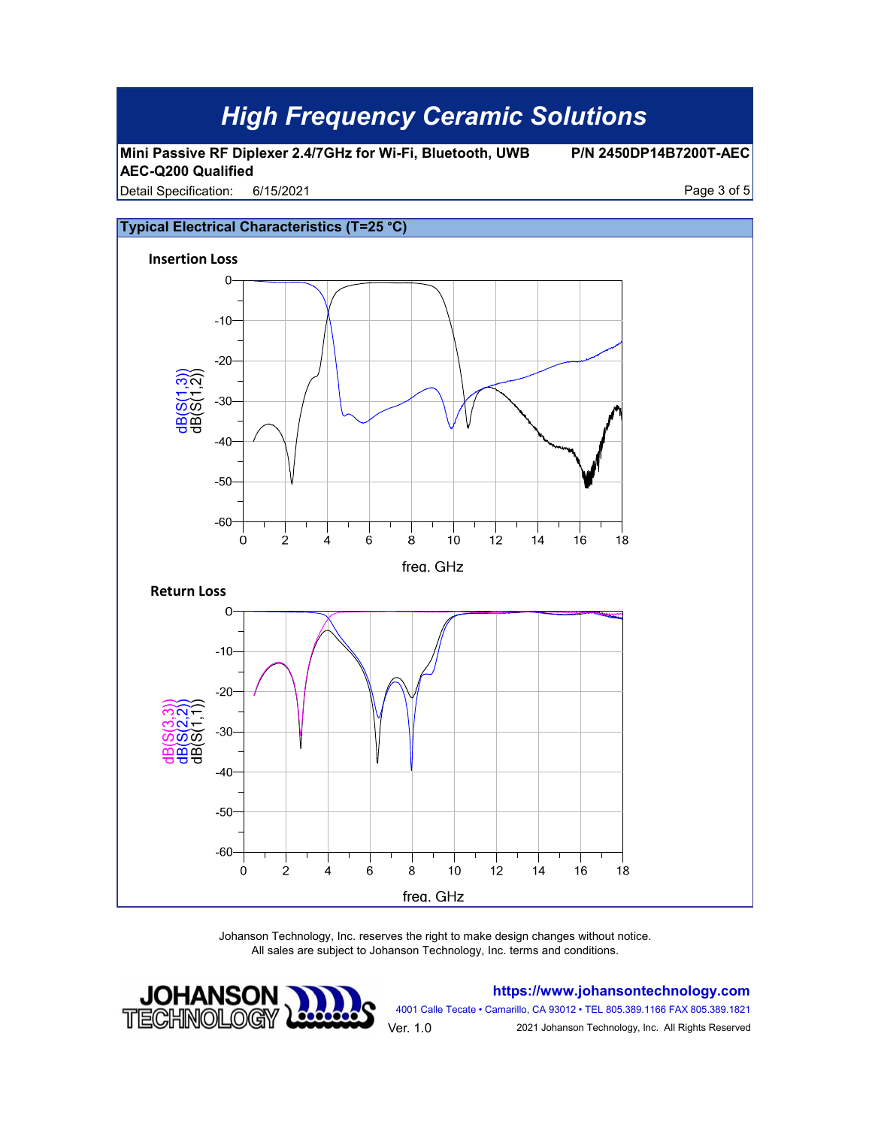**Mini Passive RF Diplexer 2.4/7GHz for Wi-Fi, Bluetooth, UWB AEC-Q200 Qualified**

**P/N 2450DP14B7200T-AEC**

Detail Specification: 6/15/2021 **Detail Specification:** 6/15/2021 6/15/2021



Johanson Technology, Inc. reserves the right to make design changes without notice. All sales are subject to Johanson Technology, Inc. terms and conditions.



**https://www.johansontechnology.com**

4001 Calle Tecate • Camarillo, CA 93012 • TEL 805.389.1166 FAX 805.389.1821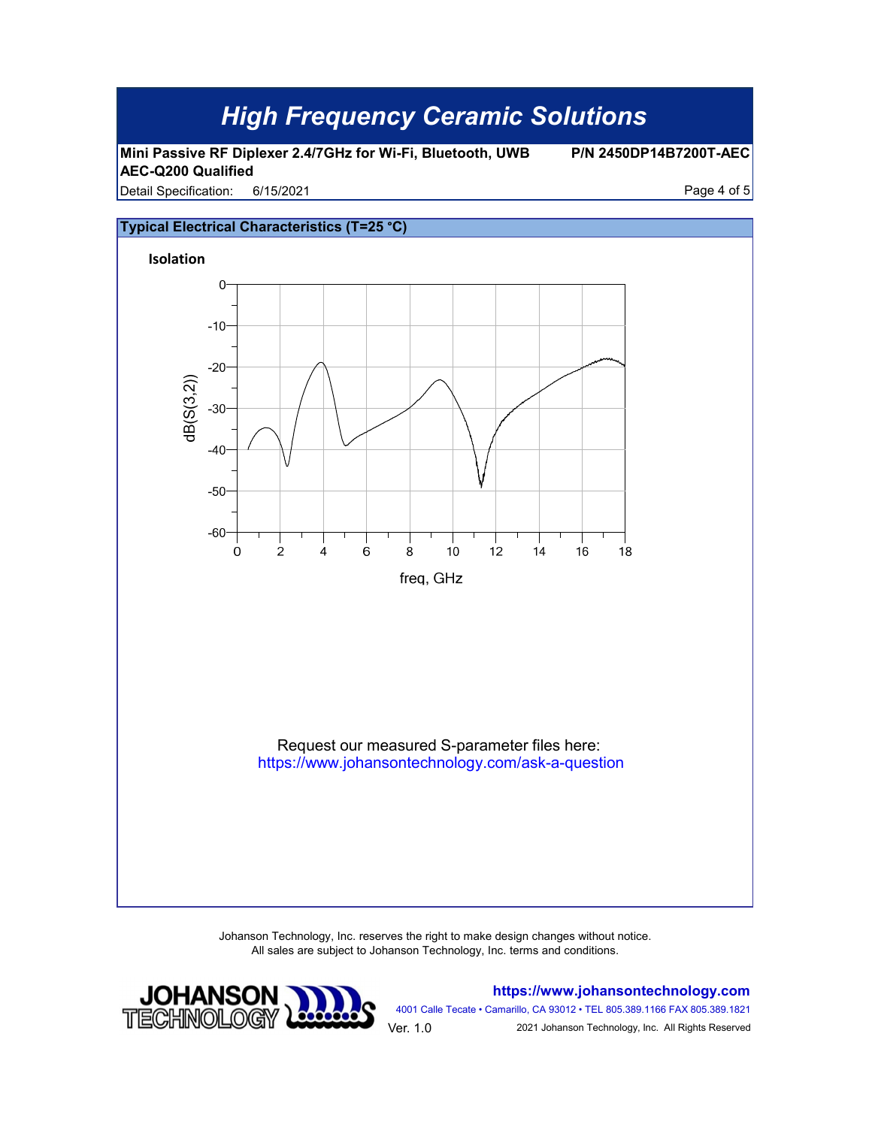**Mini Passive RF Diplexer 2.4/7GHz for Wi-Fi, Bluetooth, UWB AEC-Q200 Qualified**

**P/N 2450DP14B7200T-AEC**

Detail Specification: 6/15/2021 **Detail Specification:** 6/15/2021 6/15/2021



Johanson Technology, Inc. reserves the right to make design changes without notice. All sales are subject to Johanson Technology, Inc. terms and conditions.



**https://www.johansontechnology.com**

4001 Calle Tecate • Camarillo, CA 93012 • TEL 805.389.1166 FAX 805.389.1821 Ver. 1.0 2021 Johanson Technology, Inc. All Rights Reserved